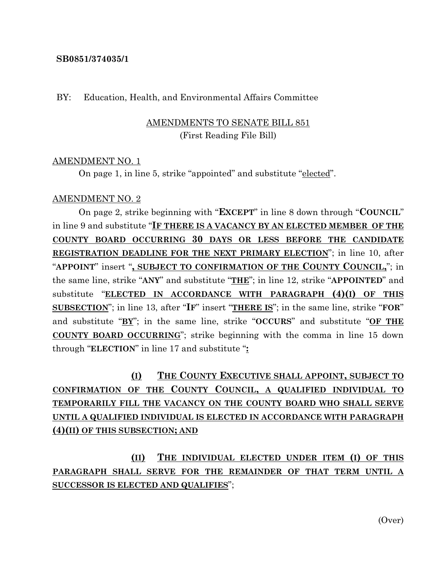#### **SB0851/374035/1**

### BY: Education, Health, and Environmental Affairs Committee

# AMENDMENTS TO SENATE BILL 851 (First Reading File Bill)

### AMENDMENT NO. 1

On page 1, in line 5, strike "appointed" and substitute "elected".

### AMENDMENT NO. 2

On page 2, strike beginning with "**EXCEPT**" in line 8 down through "**COUNCIL**" in line 9 and substitute "**IF THERE IS A VACANCY BY AN ELECTED MEMBER OF THE COUNTY BOARD OCCURRING 30 DAYS OR LESS BEFORE THE CANDIDATE REGISTRATION DEADLINE FOR THE NEXT PRIMARY ELECTION**"; in line 10, after "**APPOINT**" insert "**, SUBJECT TO CONFIRMATION OF THE COUNTY COUNCIL,**"; in the same line, strike "**ANY**" and substitute "**THE**"; in line 12, strike "**APPOINTED**" and substitute "**ELECTED IN ACCORDANCE WITH PARAGRAPH (4)(I) OF THIS SUBSECTION**"; in line 13, after "**IF**" insert "**THERE IS**"; in the same line, strike "**FOR**" and substitute "**BY**"; in the same line, strike "**OCCURS**" and substitute "**OF THE COUNTY BOARD OCCURRING**"; strike beginning with the comma in line 15 down through "**ELECTION**" in line 17 and substitute "**:**

**(I) THE COUNTY EXECUTIVE SHALL APPOINT, SUBJECT TO CONFIRMATION OF THE COUNTY COUNCIL, A QUALIFIED INDIVIDUAL TO TEMPORARILY FILL THE VACANCY ON THE COUNTY BOARD WHO SHALL SERVE UNTIL A QUALIFIED INDIVIDUAL IS ELECTED IN ACCORDANCE WITH PARAGRAPH (4)(II) OF THIS SUBSECTION; AND**

**(II) THE INDIVIDUAL ELECTED UNDER ITEM (I) OF THIS PARAGRAPH SHALL SERVE FOR THE REMAINDER OF THAT TERM UNTIL A SUCCESSOR IS ELECTED AND QUALIFIES**";